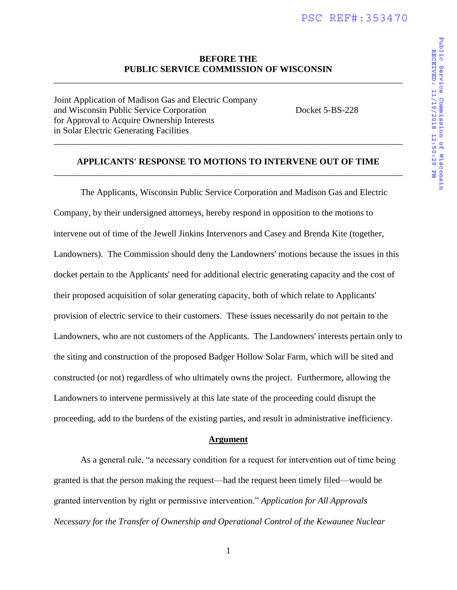# **BEFORE THE PUBLIC SERVICE COMMISSION OF WISCONSIN**  \_\_\_\_\_\_\_\_\_\_\_\_\_\_\_\_\_\_\_\_\_\_\_\_\_\_\_\_\_\_\_\_\_\_\_\_\_\_\_\_\_\_\_\_\_\_\_\_\_\_\_\_\_\_\_\_\_\_\_\_\_\_\_\_\_\_\_\_\_\_\_\_\_\_\_\_\_\_

Joint Application of Madison Gas and Electric Company and Wisconsin Public Service Corporation Docket 5-BS-228 for Approval to Acquire Ownership Interests in Solar Electric Generating Facilities

# **APPLICANTS' RESPONSE TO MOTIONS TO INTERVENE OUT OF TIME**  \_\_\_\_\_\_\_\_\_\_\_\_\_\_\_\_\_\_\_\_\_\_\_\_\_\_\_\_\_\_\_\_\_\_\_\_\_\_\_\_\_\_\_\_\_\_\_\_\_\_\_\_\_\_\_\_\_\_\_\_\_\_\_\_\_\_\_\_\_\_\_\_\_\_\_\_\_\_

\_\_\_\_\_\_\_\_\_\_\_\_\_\_\_\_\_\_\_\_\_\_\_\_\_\_\_\_\_\_\_\_\_\_\_\_\_\_\_\_\_\_\_\_\_\_\_\_\_\_\_\_\_\_\_\_\_\_\_\_\_\_\_\_\_\_\_\_\_\_\_\_\_\_\_\_\_\_

 The Applicants, Wisconsin Public Service Corporation and Madison Gas and Electric Company, by their undersigned attorneys, hereby respond in opposition to the motions to intervene out of time of the Jewell Jinkins Intervenors and Casey and Brenda Kite (together, Landowners). The Commission should deny the Landowners' motions because the issues in this docket pertain to the Applicants' need for additional electric generating capacity and the cost of their proposed acquisition of solar generating capacity, both of which relate to Applicants' provision of electric service to their customers. These issues necessarily do not pertain to the Landowners, who are not customers of the Applicants. The Landowners' interests pertain only to the siting and construction of the proposed Badger Hollow Solar Farm, which will be sited and constructed (or not) regardless of who ultimately owns the project. Furthermore, allowing the Landowners to intervene permissively at this late state of the proceeding could disrupt the proceeding, add to the burdens of the existing parties, and result in administrative inefficiency.

#### **Argument**

 As a general rule, "a necessary condition for a request for intervention out of time being granted is that the person making the request—had the request been timely filed—would be granted intervention by right or permissive intervention." *Application for All Approvals Necessary for the Transfer of Ownership and Operational Control of the Kewaunee Nuclear* 

1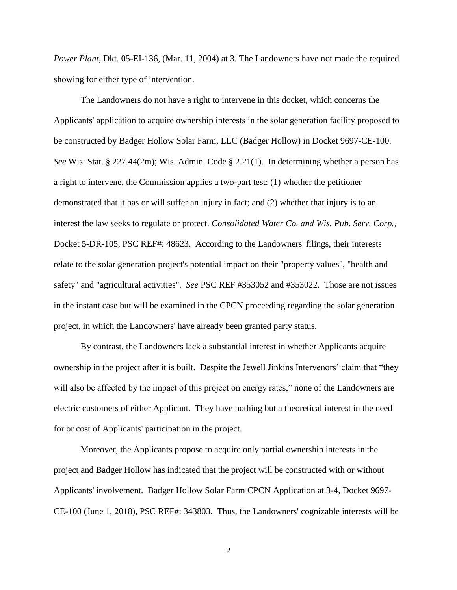*Power Plant*, Dkt. 05-EI-136, (Mar. 11, 2004) at 3. The Landowners have not made the required showing for either type of intervention.

The Landowners do not have a right to intervene in this docket, which concerns the Applicants' application to acquire ownership interests in the solar generation facility proposed to be constructed by Badger Hollow Solar Farm, LLC (Badger Hollow) in Docket 9697-CE-100. *See* Wis. Stat. § 227.44(2m); Wis. Admin. Code § 2.21(1). In determining whether a person has a right to intervene, the Commission applies a two-part test: (1) whether the petitioner demonstrated that it has or will suffer an injury in fact; and (2) whether that injury is to an interest the law seeks to regulate or protect. *Consolidated Water Co. and Wis. Pub. Serv. Corp.*, Docket 5-DR-105, PSC REF#: 48623. According to the Landowners' filings, their interests relate to the solar generation project's potential impact on their "property values", "health and safety" and "agricultural activities". *See* PSC REF #353052 and #353022. Those are not issues in the instant case but will be examined in the CPCN proceeding regarding the solar generation project, in which the Landowners' have already been granted party status.

By contrast, the Landowners lack a substantial interest in whether Applicants acquire ownership in the project after it is built. Despite the Jewell Jinkins Intervenors' claim that "they will also be affected by the impact of this project on energy rates," none of the Landowners are electric customers of either Applicant. They have nothing but a theoretical interest in the need for or cost of Applicants' participation in the project.

Moreover, the Applicants propose to acquire only partial ownership interests in the project and Badger Hollow has indicated that the project will be constructed with or without Applicants' involvement. Badger Hollow Solar Farm CPCN Application at 3-4, Docket 9697- CE-100 (June 1, 2018), PSC REF#: 343803. Thus, the Landowners' cognizable interests will be

2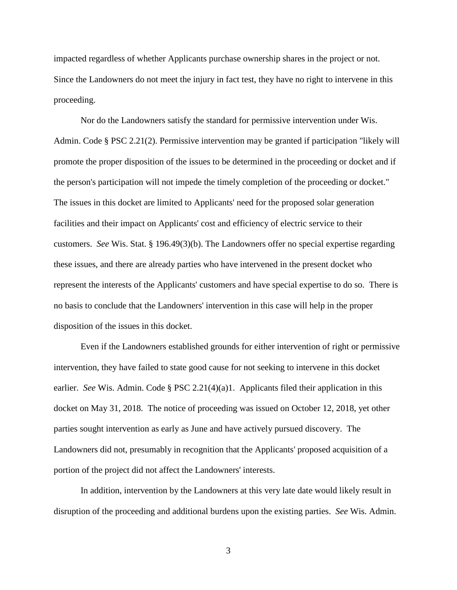impacted regardless of whether Applicants purchase ownership shares in the project or not. Since the Landowners do not meet the injury in fact test, they have no right to intervene in this proceeding.

Nor do the Landowners satisfy the standard for permissive intervention under Wis. Admin. Code § PSC 2.21(2). Permissive intervention may be granted if participation "likely will promote the proper disposition of the issues to be determined in the proceeding or docket and if the person's participation will not impede the timely completion of the proceeding or docket." The issues in this docket are limited to Applicants' need for the proposed solar generation facilities and their impact on Applicants' cost and efficiency of electric service to their customers. *See* Wis. Stat. § 196.49(3)(b). The Landowners offer no special expertise regarding these issues, and there are already parties who have intervened in the present docket who represent the interests of the Applicants' customers and have special expertise to do so. There is no basis to conclude that the Landowners' intervention in this case will help in the proper disposition of the issues in this docket.

Even if the Landowners established grounds for either intervention of right or permissive intervention, they have failed to state good cause for not seeking to intervene in this docket earlier. *See* Wis. Admin. Code § PSC 2.21(4)(a)1. Applicants filed their application in this docket on May 31, 2018. The notice of proceeding was issued on October 12, 2018, yet other parties sought intervention as early as June and have actively pursued discovery. The Landowners did not, presumably in recognition that the Applicants' proposed acquisition of a portion of the project did not affect the Landowners' interests.

In addition, intervention by the Landowners at this very late date would likely result in disruption of the proceeding and additional burdens upon the existing parties. *See* Wis. Admin.

3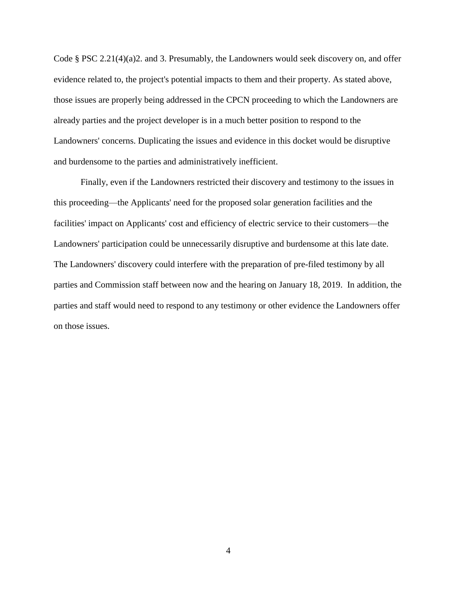Code § PSC 2.21(4)(a)2. and 3. Presumably, the Landowners would seek discovery on, and offer evidence related to, the project's potential impacts to them and their property. As stated above, those issues are properly being addressed in the CPCN proceeding to which the Landowners are already parties and the project developer is in a much better position to respond to the Landowners' concerns. Duplicating the issues and evidence in this docket would be disruptive and burdensome to the parties and administratively inefficient.

Finally, even if the Landowners restricted their discovery and testimony to the issues in this proceeding—the Applicants' need for the proposed solar generation facilities and the facilities' impact on Applicants' cost and efficiency of electric service to their customers—the Landowners' participation could be unnecessarily disruptive and burdensome at this late date. The Landowners' discovery could interfere with the preparation of pre-filed testimony by all parties and Commission staff between now and the hearing on January 18, 2019. In addition, the parties and staff would need to respond to any testimony or other evidence the Landowners offer on those issues.